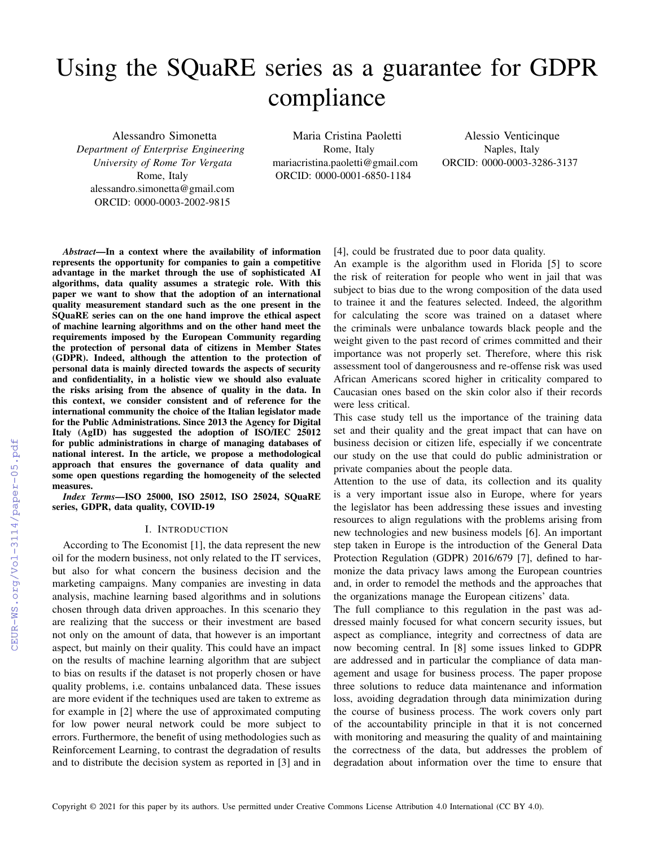# Using the SQuaRE series as a guarantee for GDPR compliance

Alessandro Simonetta *Department of Enterprise Engineering University of Rome Tor Vergata* Rome, Italy alessandro.simonetta@gmail.com ORCID: 0000-0003-2002-9815

Maria Cristina Paoletti Rome, Italy mariacristina.paoletti@gmail.com ORCID: 0000-0001-6850-1184

Alessio Venticinque Naples, Italy ORCID: 0000-0003-3286-3137

*Abstract*—In a context where the availability of information represents the opportunity for companies to gain a competitive advantage in the market through the use of sophisticated AI algorithms, data quality assumes a strategic role. With this paper we want to show that the adoption of an international quality measurement standard such as the one present in the SQuaRE series can on the one hand improve the ethical aspect of machine learning algorithms and on the other hand meet the requirements imposed by the European Community regarding the protection of personal data of citizens in Member States (GDPR). Indeed, although the attention to the protection of personal data is mainly directed towards the aspects of security and confidentiality, in a holistic view we should also evaluate the risks arising from the absence of quality in the data. In this context, we consider consistent and of reference for the international community the choice of the Italian legislator made for the Public Administrations. Since 2013 the Agency for Digital Italy (AgID) has suggested the adoption of ISO/IEC 25012 for public administrations in charge of managing databases of national interest. In the article, we propose a methodological approach that ensures the governance of data quality and some open questions regarding the homogeneity of the selected measures.

*Index Terms*—ISO 25000, ISO 25012, ISO 25024, SQuaRE series, GDPR, data quality, COVID-19

## I. INTRODUCTION

According to The Economist [1], the data represent the new oil for the modern business, not only related to the IT services, but also for what concern the business decision and the marketing campaigns. Many companies are investing in data analysis, machine learning based algorithms and in solutions chosen through data driven approaches. In this scenario they are realizing that the success or their investment are based not only on the amount of data, that however is an important aspect, but mainly on their quality. This could have an impact on the results of machine learning algorithm that are subject to bias on results if the dataset is not properly chosen or have quality problems, i.e. contains unbalanced data. These issues are more evident if the techniques used are taken to extreme as for example in [2] where the use of approximated computing for low power neural network could be more subject to errors. Furthermore, the benefit of using methodologies such as Reinforcement Learning, to contrast the degradation of results and to distribute the decision system as reported in [3] and in

[4], could be frustrated due to poor data quality.

An example is the algorithm used in Florida [5] to score the risk of reiteration for people who went in jail that was subject to bias due to the wrong composition of the data used to trainee it and the features selected. Indeed, the algorithm for calculating the score was trained on a dataset where the criminals were unbalance towards black people and the weight given to the past record of crimes committed and their importance was not properly set. Therefore, where this risk assessment tool of dangerousness and re-offense risk was used African Americans scored higher in criticality compared to Caucasian ones based on the skin color also if their records were less critical.

This case study tell us the importance of the training data set and their quality and the great impact that can have on business decision or citizen life, especially if we concentrate our study on the use that could do public administration or private companies about the people data.

Attention to the use of data, its collection and its quality is a very important issue also in Europe, where for years the legislator has been addressing these issues and investing resources to align regulations with the problems arising from new technologies and new business models [6]. An important step taken in Europe is the introduction of the General Data Protection Regulation (GDPR) 2016/679 [7], defined to harmonize the data privacy laws among the European countries and, in order to remodel the methods and the approaches that the organizations manage the European citizens' data.

The full compliance to this regulation in the past was addressed mainly focused for what concern security issues, but aspect as compliance, integrity and correctness of data are now becoming central. In [8] some issues linked to GDPR are addressed and in particular the compliance of data management and usage for business process. The paper propose three solutions to reduce data maintenance and information loss, avoiding degradation through data minimization during the course of business process. The work covers only part of the accountability principle in that it is not concerned with monitoring and measuring the quality of and maintaining the correctness of the data, but addresses the problem of degradation about information over the time to ensure that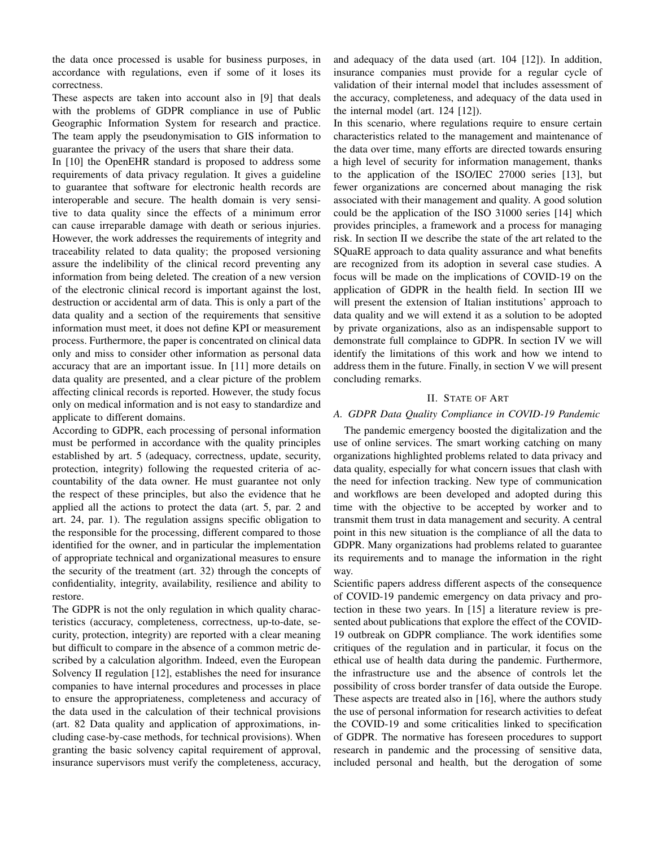the data once processed is usable for business purposes, in accordance with regulations, even if some of it loses its correctness.

These aspects are taken into account also in [9] that deals with the problems of GDPR compliance in use of Public Geographic Information System for research and practice. The team apply the pseudonymisation to GIS information to guarantee the privacy of the users that share their data.

In [10] the OpenEHR standard is proposed to address some requirements of data privacy regulation. It gives a guideline to guarantee that software for electronic health records are interoperable and secure. The health domain is very sensitive to data quality since the effects of a minimum error can cause irreparable damage with death or serious injuries. However, the work addresses the requirements of integrity and traceability related to data quality; the proposed versioning assure the indelibility of the clinical record preventing any information from being deleted. The creation of a new version of the electronic clinical record is important against the lost, destruction or accidental arm of data. This is only a part of the data quality and a section of the requirements that sensitive information must meet, it does not define KPI or measurement process. Furthermore, the paper is concentrated on clinical data only and miss to consider other information as personal data accuracy that are an important issue. In [11] more details on data quality are presented, and a clear picture of the problem affecting clinical records is reported. However, the study focus only on medical information and is not easy to standardize and applicate to different domains.

According to GDPR, each processing of personal information must be performed in accordance with the quality principles established by art. 5 (adequacy, correctness, update, security, protection, integrity) following the requested criteria of accountability of the data owner. He must guarantee not only the respect of these principles, but also the evidence that he applied all the actions to protect the data (art. 5, par. 2 and art. 24, par. 1). The regulation assigns specific obligation to the responsible for the processing, different compared to those identified for the owner, and in particular the implementation of appropriate technical and organizational measures to ensure the security of the treatment (art. 32) through the concepts of confidentiality, integrity, availability, resilience and ability to restore.

The GDPR is not the only regulation in which quality characteristics (accuracy, completeness, correctness, up-to-date, security, protection, integrity) are reported with a clear meaning but difficult to compare in the absence of a common metric described by a calculation algorithm. Indeed, even the European Solvency II regulation [12], establishes the need for insurance companies to have internal procedures and processes in place to ensure the appropriateness, completeness and accuracy of the data used in the calculation of their technical provisions (art. 82 Data quality and application of approximations, including case-by-case methods, for technical provisions). When granting the basic solvency capital requirement of approval, insurance supervisors must verify the completeness, accuracy,

and adequacy of the data used (art. 104 [12]). In addition, insurance companies must provide for a regular cycle of validation of their internal model that includes assessment of the accuracy, completeness, and adequacy of the data used in the internal model (art. 124 [12]).

In this scenario, where regulations require to ensure certain characteristics related to the management and maintenance of the data over time, many efforts are directed towards ensuring a high level of security for information management, thanks to the application of the ISO/IEC 27000 series [13], but fewer organizations are concerned about managing the risk associated with their management and quality. A good solution could be the application of the ISO 31000 series [14] which provides principles, a framework and a process for managing risk. In section II we describe the state of the art related to the SQuaRE approach to data quality assurance and what benefits are recognized from its adoption in several case studies. A focus will be made on the implications of COVID-19 on the application of GDPR in the health field. In section III we will present the extension of Italian institutions' approach to data quality and we will extend it as a solution to be adopted by private organizations, also as an indispensable support to demonstrate full complaince to GDPR. In section IV we will identify the limitations of this work and how we intend to address them in the future. Finally, in section V we will present concluding remarks.

## II. STATE OF ART

## *A. GDPR Data Quality Compliance in COVID-19 Pandemic*

The pandemic emergency boosted the digitalization and the use of online services. The smart working catching on many organizations highlighted problems related to data privacy and data quality, especially for what concern issues that clash with the need for infection tracking. New type of communication and workflows are been developed and adopted during this time with the objective to be accepted by worker and to transmit them trust in data management and security. A central point in this new situation is the compliance of all the data to GDPR. Many organizations had problems related to guarantee its requirements and to manage the information in the right way.

Scientific papers address different aspects of the consequence of COVID-19 pandemic emergency on data privacy and protection in these two years. In [15] a literature review is presented about publications that explore the effect of the COVID-19 outbreak on GDPR compliance. The work identifies some critiques of the regulation and in particular, it focus on the ethical use of health data during the pandemic. Furthermore, the infrastructure use and the absence of controls let the possibility of cross border transfer of data outside the Europe. These aspects are treated also in [16], where the authors study the use of personal information for research activities to defeat the COVID-19 and some criticalities linked to specification of GDPR. The normative has foreseen procedures to support research in pandemic and the processing of sensitive data, included personal and health, but the derogation of some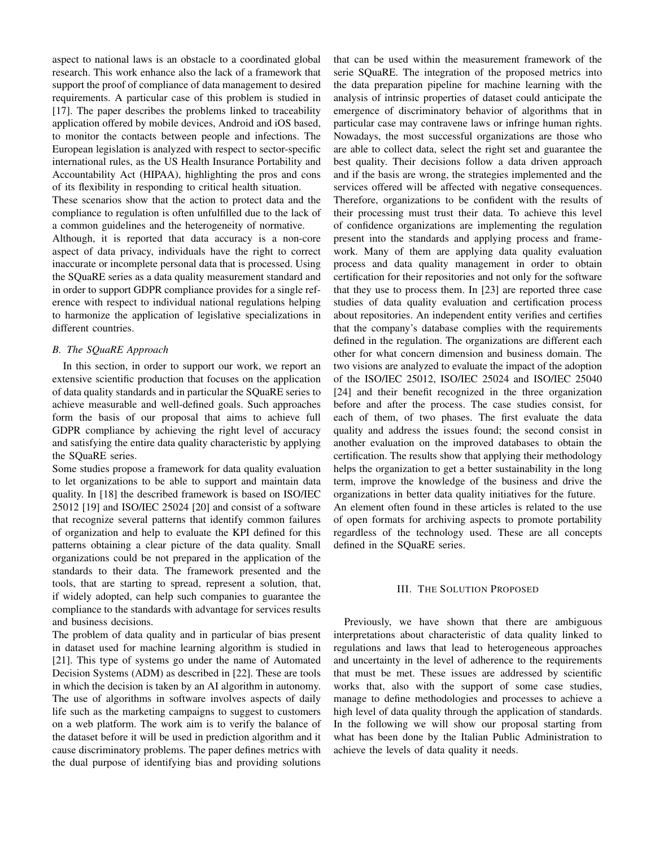aspect to national laws is an obstacle to a coordinated global research. This work enhance also the lack of a framework that support the proof of compliance of data management to desired requirements. A particular case of this problem is studied in [17]. The paper describes the problems linked to traceability application offered by mobile devices, Android and iOS based, to monitor the contacts between people and infections. The European legislation is analyzed with respect to sector-specific international rules, as the US Health Insurance Portability and Accountability Act (HIPAA), highlighting the pros and cons of its flexibility in responding to critical health situation.

These scenarios show that the action to protect data and the compliance to regulation is often unfulfilled due to the lack of a common guidelines and the heterogeneity of normative.

Although, it is reported that data accuracy is a non-core aspect of data privacy, individuals have the right to correct inaccurate or incomplete personal data that is processed. Using the SQuaRE series as a data quality measurement standard and in order to support GDPR compliance provides for a single reference with respect to individual national regulations helping to harmonize the application of legislative specializations in different countries.

# *B. The SQuaRE Approach*

In this section, in order to support our work, we report an extensive scientific production that focuses on the application of data quality standards and in particular the SQuaRE series to achieve measurable and well-defined goals. Such approaches form the basis of our proposal that aims to achieve full GDPR compliance by achieving the right level of accuracy and satisfying the entire data quality characteristic by applying the SQuaRE series.

Some studies propose a framework for data quality evaluation to let organizations to be able to support and maintain data quality. In [18] the described framework is based on ISO/IEC 25012 [19] and ISO/IEC 25024 [20] and consist of a software that recognize several patterns that identify common failures of organization and help to evaluate the KPI defined for this patterns obtaining a clear picture of the data quality. Small organizations could be not prepared in the application of the standards to their data. The framework presented and the tools, that are starting to spread, represent a solution, that, if widely adopted, can help such companies to guarantee the compliance to the standards with advantage for services results and business decisions.

The problem of data quality and in particular of bias present in dataset used for machine learning algorithm is studied in [21]. This type of systems go under the name of Automated Decision Systems (ADM) as described in [22]. These are tools in which the decision is taken by an AI algorithm in autonomy. The use of algorithms in software involves aspects of daily life such as the marketing campaigns to suggest to customers on a web platform. The work aim is to verify the balance of the dataset before it will be used in prediction algorithm and it cause discriminatory problems. The paper defines metrics with the dual purpose of identifying bias and providing solutions

that can be used within the measurement framework of the serie SQuaRE. The integration of the proposed metrics into the data preparation pipeline for machine learning with the analysis of intrinsic properties of dataset could anticipate the emergence of discriminatory behavior of algorithms that in particular case may contravene laws or infringe human rights. Nowadays, the most successful organizations are those who are able to collect data, select the right set and guarantee the best quality. Their decisions follow a data driven approach and if the basis are wrong, the strategies implemented and the services offered will be affected with negative consequences. Therefore, organizations to be confident with the results of their processing must trust their data. To achieve this level of confidence organizations are implementing the regulation present into the standards and applying process and framework. Many of them are applying data quality evaluation process and data quality management in order to obtain certification for their repositories and not only for the software that they use to process them. In [23] are reported three case studies of data quality evaluation and certification process about repositories. An independent entity verifies and certifies that the company's database complies with the requirements defined in the regulation. The organizations are different each other for what concern dimension and business domain. The two visions are analyzed to evaluate the impact of the adoption of the ISO/IEC 25012, ISO/IEC 25024 and ISO/IEC 25040 [24] and their benefit recognized in the three organization before and after the process. The case studies consist, for each of them, of two phases. The first evaluate the data quality and address the issues found; the second consist in another evaluation on the improved databases to obtain the certification. The results show that applying their methodology helps the organization to get a better sustainability in the long term, improve the knowledge of the business and drive the organizations in better data quality initiatives for the future. An element often found in these articles is related to the use of open formats for archiving aspects to promote portability regardless of the technology used. These are all concepts defined in the SQuaRE series.

## III. THE SOLUTION PROPOSED

Previously, we have shown that there are ambiguous interpretations about characteristic of data quality linked to regulations and laws that lead to heterogeneous approaches and uncertainty in the level of adherence to the requirements that must be met. These issues are addressed by scientific works that, also with the support of some case studies, manage to define methodologies and processes to achieve a high level of data quality through the application of standards. In the following we will show our proposal starting from what has been done by the Italian Public Administration to achieve the levels of data quality it needs.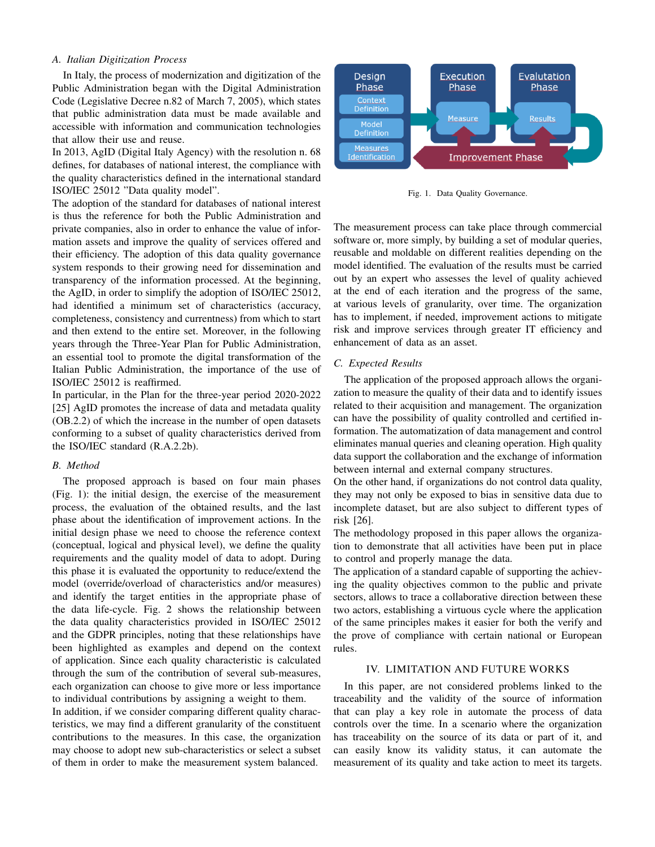# *A. Italian Digitization Process*

In Italy, the process of modernization and digitization of the Public Administration began with the Digital Administration Code (Legislative Decree n.82 of March 7, 2005), which states that public administration data must be made available and accessible with information and communication technologies that allow their use and reuse.

In 2013, AgID (Digital Italy Agency) with the resolution n. 68 defines, for databases of national interest, the compliance with the quality characteristics defined in the international standard ISO/IEC 25012 "Data quality model".

The adoption of the standard for databases of national interest is thus the reference for both the Public Administration and private companies, also in order to enhance the value of information assets and improve the quality of services offered and their efficiency. The adoption of this data quality governance system responds to their growing need for dissemination and transparency of the information processed. At the beginning, the AgID, in order to simplify the adoption of ISO/IEC 25012, had identified a minimum set of characteristics (accuracy, completeness, consistency and currentness) from which to start and then extend to the entire set. Moreover, in the following years through the Three-Year Plan for Public Administration, an essential tool to promote the digital transformation of the Italian Public Administration, the importance of the use of ISO/IEC 25012 is reaffirmed.

In particular, in the Plan for the three-year period 2020-2022 [25] AgID promotes the increase of data and metadata quality (OB.2.2) of which the increase in the number of open datasets conforming to a subset of quality characteristics derived from the ISO/IEC standard (R.A.2.2b).

### *B. Method*

The proposed approach is based on four main phases (Fig. 1): the initial design, the exercise of the measurement process, the evaluation of the obtained results, and the last phase about the identification of improvement actions. In the initial design phase we need to choose the reference context (conceptual, logical and physical level), we define the quality requirements and the quality model of data to adopt. During this phase it is evaluated the opportunity to reduce/extend the model (override/overload of characteristics and/or measures) and identify the target entities in the appropriate phase of the data life-cycle. Fig. 2 shows the relationship between the data quality characteristics provided in ISO/IEC 25012 and the GDPR principles, noting that these relationships have been highlighted as examples and depend on the context of application. Since each quality characteristic is calculated through the sum of the contribution of several sub-measures, each organization can choose to give more or less importance to individual contributions by assigning a weight to them.

In addition, if we consider comparing different quality characteristics, we may find a different granularity of the constituent contributions to the measures. In this case, the organization may choose to adopt new sub-characteristics or select a subset of them in order to make the measurement system balanced.



Fig. 1. Data Quality Governance.

The measurement process can take place through commercial software or, more simply, by building a set of modular queries, reusable and moldable on different realities depending on the model identified. The evaluation of the results must be carried out by an expert who assesses the level of quality achieved at the end of each iteration and the progress of the same, at various levels of granularity, over time. The organization has to implement, if needed, improvement actions to mitigate risk and improve services through greater IT efficiency and enhancement of data as an asset.

#### *C. Expected Results*

The application of the proposed approach allows the organization to measure the quality of their data and to identify issues related to their acquisition and management. The organization can have the possibility of quality controlled and certified information. The automatization of data management and control eliminates manual queries and cleaning operation. High quality data support the collaboration and the exchange of information between internal and external company structures.

On the other hand, if organizations do not control data quality, they may not only be exposed to bias in sensitive data due to incomplete dataset, but are also subject to different types of risk [26].

The methodology proposed in this paper allows the organization to demonstrate that all activities have been put in place to control and properly manage the data.

The application of a standard capable of supporting the achieving the quality objectives common to the public and private sectors, allows to trace a collaborative direction between these two actors, establishing a virtuous cycle where the application of the same principles makes it easier for both the verify and the prove of compliance with certain national or European rules.

# IV. LIMITATION AND FUTURE WORKS

In this paper, are not considered problems linked to the traceability and the validity of the source of information that can play a key role in automate the process of data controls over the time. In a scenario where the organization has traceability on the source of its data or part of it, and can easily know its validity status, it can automate the measurement of its quality and take action to meet its targets.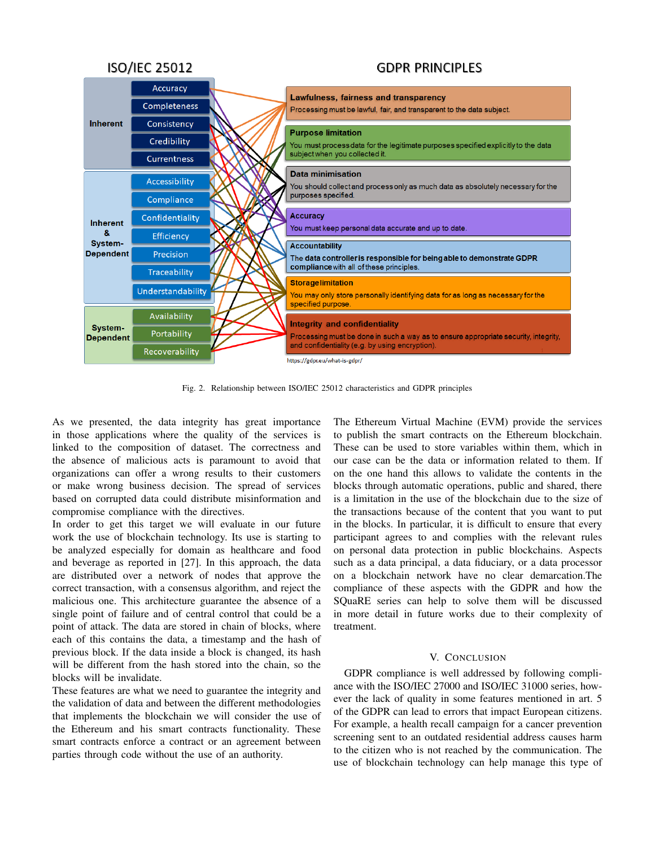

Fig. 2. Relationship between ISO/IEC 25012 characteristics and GDPR principles

As we presented, the data integrity has great importance in those applications where the quality of the services is linked to the composition of dataset. The correctness and the absence of malicious acts is paramount to avoid that organizations can offer a wrong results to their customers or make wrong business decision. The spread of services based on corrupted data could distribute misinformation and compromise compliance with the directives.

In order to get this target we will evaluate in our future work the use of blockchain technology. Its use is starting to be analyzed especially for domain as healthcare and food and beverage as reported in [27]. In this approach, the data are distributed over a network of nodes that approve the correct transaction, with a consensus algorithm, and reject the malicious one. This architecture guarantee the absence of a single point of failure and of central control that could be a point of attack. The data are stored in chain of blocks, where each of this contains the data, a timestamp and the hash of previous block. If the data inside a block is changed, its hash will be different from the hash stored into the chain, so the blocks will be invalidate.

These features are what we need to guarantee the integrity and the validation of data and between the different methodologies that implements the blockchain we will consider the use of the Ethereum and his smart contracts functionality. These smart contracts enforce a contract or an agreement between parties through code without the use of an authority.

The Ethereum Virtual Machine (EVM) provide the services to publish the smart contracts on the Ethereum blockchain. These can be used to store variables within them, which in our case can be the data or information related to them. If on the one hand this allows to validate the contents in the blocks through automatic operations, public and shared, there is a limitation in the use of the blockchain due to the size of the transactions because of the content that you want to put in the blocks. In particular, it is difficult to ensure that every participant agrees to and complies with the relevant rules on personal data protection in public blockchains. Aspects such as a data principal, a data fiduciary, or a data processor on a blockchain network have no clear demarcation.The compliance of these aspects with the GDPR and how the SQuaRE series can help to solve them will be discussed in more detail in future works due to their complexity of treatment.

#### V. CONCLUSION

GDPR compliance is well addressed by following compliance with the ISO/IEC 27000 and ISO/IEC 31000 series, however the lack of quality in some features mentioned in art. 5 of the GDPR can lead to errors that impact European citizens. For example, a health recall campaign for a cancer prevention screening sent to an outdated residential address causes harm to the citizen who is not reached by the communication. The use of blockchain technology can help manage this type of